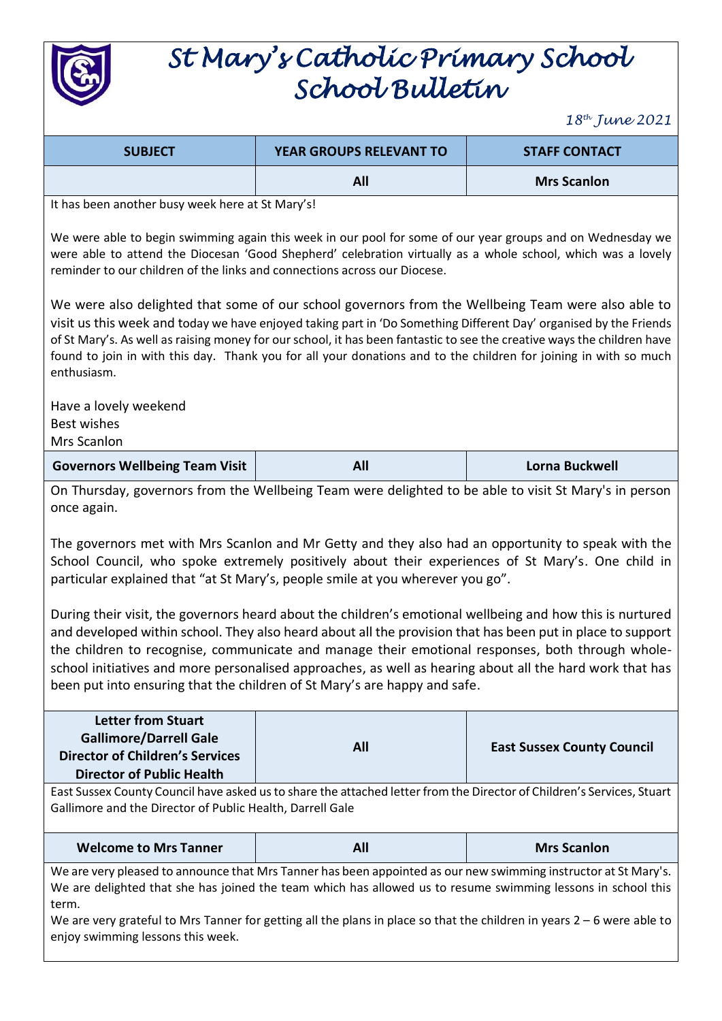

## *St Mary's Catholic Primary School School Bulletin*

*18 th June 2021*

| <b>SUBJECT</b>                                                                                                                                                                                                                                                                                                                                                                                                                                                                                                       | YEAR GROUPS RELEVANT TO | <b>STAFF CONTACT</b>              |  |  |
|----------------------------------------------------------------------------------------------------------------------------------------------------------------------------------------------------------------------------------------------------------------------------------------------------------------------------------------------------------------------------------------------------------------------------------------------------------------------------------------------------------------------|-------------------------|-----------------------------------|--|--|
|                                                                                                                                                                                                                                                                                                                                                                                                                                                                                                                      | All                     | <b>Mrs Scanlon</b>                |  |  |
| It has been another busy week here at St Mary's!                                                                                                                                                                                                                                                                                                                                                                                                                                                                     |                         |                                   |  |  |
| We were able to begin swimming again this week in our pool for some of our year groups and on Wednesday we<br>were able to attend the Diocesan 'Good Shepherd' celebration virtually as a whole school, which was a lovely<br>reminder to our children of the links and connections across our Diocese.                                                                                                                                                                                                              |                         |                                   |  |  |
| We were also delighted that some of our school governors from the Wellbeing Team were also able to<br>visit us this week and today we have enjoyed taking part in 'Do Something Different Day' organised by the Friends<br>of St Mary's. As well as raising money for our school, it has been fantastic to see the creative ways the children have<br>found to join in with this day. Thank you for all your donations and to the children for joining in with so much<br>enthusiasm.                                |                         |                                   |  |  |
| Have a lovely weekend<br><b>Best wishes</b><br>Mrs Scanlon                                                                                                                                                                                                                                                                                                                                                                                                                                                           |                         |                                   |  |  |
| <b>Governors Wellbeing Team Visit</b>                                                                                                                                                                                                                                                                                                                                                                                                                                                                                | All                     | Lorna Buckwell                    |  |  |
| On Thursday, governors from the Wellbeing Team were delighted to be able to visit St Mary's in person<br>once again.<br>The governors met with Mrs Scanlon and Mr Getty and they also had an opportunity to speak with the<br>School Council, who spoke extremely positively about their experiences of St Mary's. One child in<br>particular explained that "at St Mary's, people smile at you wherever you go".                                                                                                    |                         |                                   |  |  |
| During their visit, the governors heard about the children's emotional wellbeing and how this is nurtured<br>and developed within school. They also heard about all the provision that has been put in place to support<br>the children to recognise, communicate and manage their emotional responses, both through whole-<br>school initiatives and more personalised approaches, as well as hearing about all the hard work that has<br>been put into ensuring that the children of St Mary's are happy and safe. |                         |                                   |  |  |
| <b>Letter from Stuart</b><br><b>Gallimore/Darrell Gale</b><br><b>Director of Children's Services</b><br><b>Director of Public Health</b>                                                                                                                                                                                                                                                                                                                                                                             | All                     | <b>East Sussex County Council</b> |  |  |
| East Sussex County Council have asked us to share the attached letter from the Director of Children's Services, Stuart<br>Gallimore and the Director of Public Health, Darrell Gale                                                                                                                                                                                                                                                                                                                                  |                         |                                   |  |  |
| <b>Welcome to Mrs Tanner</b>                                                                                                                                                                                                                                                                                                                                                                                                                                                                                         | All                     | <b>Mrs Scanlon</b>                |  |  |
| We are very pleased to announce that Mrs Tanner has been appointed as our new swimming instructor at St Mary's.<br>We are delighted that she has joined the team which has allowed us to resume swimming lessons in school this<br>term.<br>We are very grateful to Mrs Tanner for getting all the plans in place so that the children in years $2-6$ were able to<br>enjoy swimming lessons this week.                                                                                                              |                         |                                   |  |  |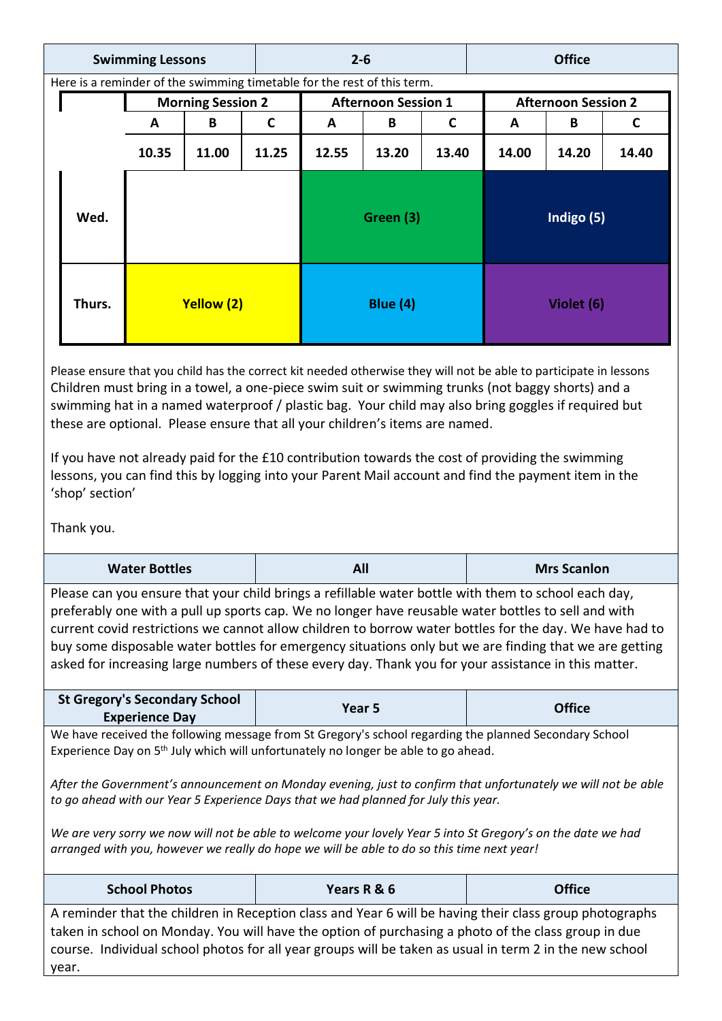| <b>Swimming Lessons</b> |                                                                         |                          | $2 - 6$ |                 |                            | <b>Office</b> |             |                            |       |       |
|-------------------------|-------------------------------------------------------------------------|--------------------------|---------|-----------------|----------------------------|---------------|-------------|----------------------------|-------|-------|
|                         | Here is a reminder of the swimming timetable for the rest of this term. |                          |         |                 |                            |               |             |                            |       |       |
|                         |                                                                         | <b>Morning Session 2</b> |         |                 | <b>Afternoon Session 1</b> |               |             | <b>Afternoon Session 2</b> |       |       |
|                         |                                                                         | A                        | B       | C               | A                          | B             | $\mathbf c$ | A                          | B     | C     |
|                         |                                                                         | 10.35                    | 11.00   | 11.25           | 12.55                      | 13.20         | 13.40       | 14.00                      | 14.20 | 14.40 |
|                         | Wed.                                                                    |                          |         |                 |                            | Green (3)     |             | Indigo (5)                 |       |       |
|                         | Thurs.<br>Yellow (2)                                                    |                          |         | <b>Blue (4)</b> |                            |               | Violet (6)  |                            |       |       |

Please ensure that you child has the correct kit needed otherwise they will not be able to participate in lessons Children must bring in a towel, a one-piece swim suit or swimming trunks (not baggy shorts) and a swimming hat in a named waterproof / plastic bag. Your child may also bring goggles if required but these are optional. Please ensure that all your children's items are named.

If you have not already paid for the £10 contribution towards the cost of providing the swimming lessons, you can find this by logging into your Parent Mail account and find the payment item in the 'shop' section'

Thank you.

| <b>Water Bottles</b>                                                                                                                                                                                                                                                                                                                                                                                                                                                                                                                                                                                                           | All         | <b>Mrs Scanlon</b> |  |  |  |
|--------------------------------------------------------------------------------------------------------------------------------------------------------------------------------------------------------------------------------------------------------------------------------------------------------------------------------------------------------------------------------------------------------------------------------------------------------------------------------------------------------------------------------------------------------------------------------------------------------------------------------|-------------|--------------------|--|--|--|
| Please can you ensure that your child brings a refillable water bottle with them to school each day,<br>preferably one with a pull up sports cap. We no longer have reusable water bottles to sell and with<br>current covid restrictions we cannot allow children to borrow water bottles for the day. We have had to<br>buy some disposable water bottles for emergency situations only but we are finding that we are getting<br>asked for increasing large numbers of these every day. Thank you for your assistance in this matter.                                                                                       |             |                    |  |  |  |
| <b>St Gregory's Secondary School</b><br><b>Experience Day</b>                                                                                                                                                                                                                                                                                                                                                                                                                                                                                                                                                                  | Year 5      | <b>Office</b>      |  |  |  |
| We have received the following message from St Gregory's school regarding the planned Secondary School<br>Experience Day on 5 <sup>th</sup> July which will unfortunately no longer be able to go ahead.<br>After the Government's announcement on Monday evening, just to confirm that unfortunately we will not be able<br>to go ahead with our Year 5 Experience Days that we had planned for July this year.<br>We are very sorry we now will not be able to welcome your lovely Year 5 into St Gregory's on the date we had<br>arranged with you, however we really do hope we will be able to do so this time next year! |             |                    |  |  |  |
|                                                                                                                                                                                                                                                                                                                                                                                                                                                                                                                                                                                                                                |             |                    |  |  |  |
| <b>School Photos</b>                                                                                                                                                                                                                                                                                                                                                                                                                                                                                                                                                                                                           | Years R & 6 | <b>Office</b>      |  |  |  |
| A reminder that the children in Reception class and Year 6 will be having their class group photographs<br>taken in school on Monday. You will have the option of purchasing a photo of the class group in due<br>course. Individual school photos for all year groups will be taken as usual in term 2 in the new school<br>year.                                                                                                                                                                                                                                                                                             |             |                    |  |  |  |